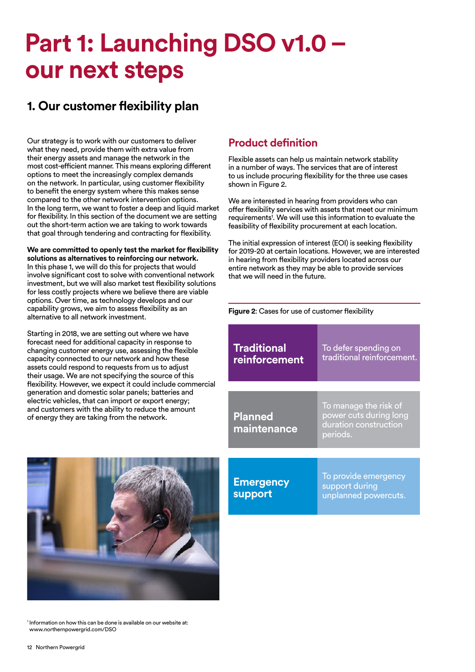# **Part 1: Launching DSO v1.0 – our next steps**

# **1. Our customer flexibility plan**

Our strategy is to work with our customers to deliver what they need, provide them with extra value from their energy assets and manage the network in the most cost-efficient manner. This means exploring different options to meet the increasingly complex demands on the network. In particular, using customer flexibility to benefit the energy system where this makes sense compared to the other network intervention options. In the long term, we want to foster a deep and liquid market for flexibility. In this section of the document we are setting out the short-term action we are taking to work towards that goal through tendering and contracting for flexibility.

**We are committed to openly test the market for flexibility solutions as alternatives to reinforcing our network.**  In this phase 1, we will do this for projects that would involve significant cost to solve with conventional network investment, but we will also market test flexibility solutions for less costly projects where we believe there are viable options. Over time, as technology develops and our capability grows, we aim to assess flexibility as an alternative to all network investment.

Starting in 2018, we are setting out where we have forecast need for additional capacity in response to changing customer energy use, assessing the flexible capacity connected to our network and how these assets could respond to requests from us to adjust their usage. We are not specifying the source of this flexibility. However, we expect it could include commercial generation and domestic solar panels; batteries and electric vehicles, that can import or export energy; and customers with the ability to reduce the amount of energy they are taking from the network.

## **Product definition**

Flexible assets can help us maintain network stability in a number of ways. The services that are of interest to us include procuring flexibility for the three use cases shown in Figure 2.

We are interested in hearing from providers who can offer flexibility services with assets that meet our minimum requirements<sup>1</sup>. We will use this information to evaluate the feasibility of flexibility procurement at each location.

The initial expression of interest (EOI) is seeking flexibility for 2019-20 at certain locations. However, we are interested in hearing from flexibility providers located across our entire network as they may be able to provide services that we will need in the future.

**Figure 2**: Cases for use of customer flexibility

| <b>Traditional</b><br>reinforcement | To defer spending on<br>traditional reinforcement.                                   |  |  |  |  |
|-------------------------------------|--------------------------------------------------------------------------------------|--|--|--|--|
|                                     |                                                                                      |  |  |  |  |
| <b>Planned</b><br>maintenance       | To manage the risk of<br>power cuts during long<br>duration construction<br>periods. |  |  |  |  |
|                                     |                                                                                      |  |  |  |  |
| <b>Emergency</b><br>support         | To provide emergency<br>support during<br>unplanned powercuts.                       |  |  |  |  |



<sup>1</sup> Information on how this can be done is available on our website at: www.northernpowergrid.com/DSO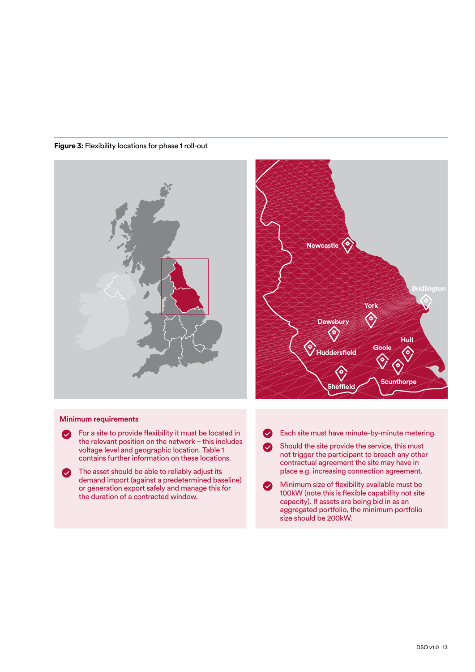

size should be 200kW.

#### **Figure 3:** Flexibility locations for phase 1 roll-out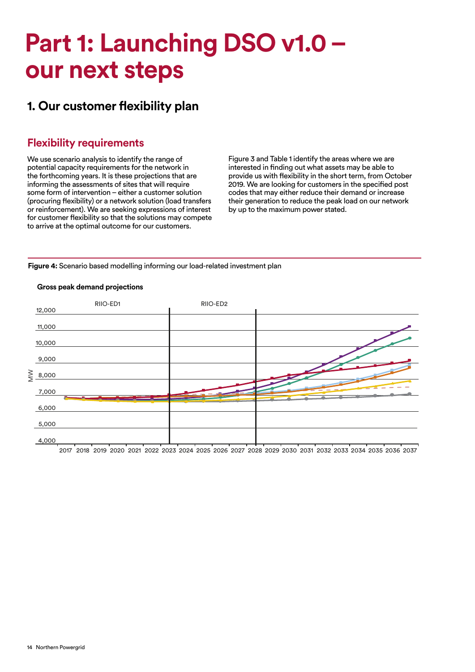# **Part 1: Launching DSO v1.0 – our next steps**

## **1. Our customer flexibility plan**

### **Flexibility requirements**

We use scenario analysis to identify the range of potential capacity requirements for the network in the forthcoming years. It is these projections that are informing the assessments of sites that will require some form of intervention – either a customer solution (procuring flexibility) or a network solution (load transfers or reinforcement). We are seeking expressions of interest for customer flexibility so that the solutions may compete to arrive at the optimal outcome for our customers.

Figure 3 and Table 1 identify the areas where we are interested in finding out what assets may be able to provide us with flexibility in the short term, from October 2019. We are looking for customers in the specified post codes that may either reduce their demand or increase their generation to reduce the peak load on our network by up to the maximum power stated.

**Figure 4:** Scenario based modelling informing our load-related investment plan



#### **Gross peak demand projections**

2017 2018 2019 2020 2021 2022 2023 2024 2025 2026 2027 2028 2029 2030 2031 2032 2033 2034 2035 2036 2037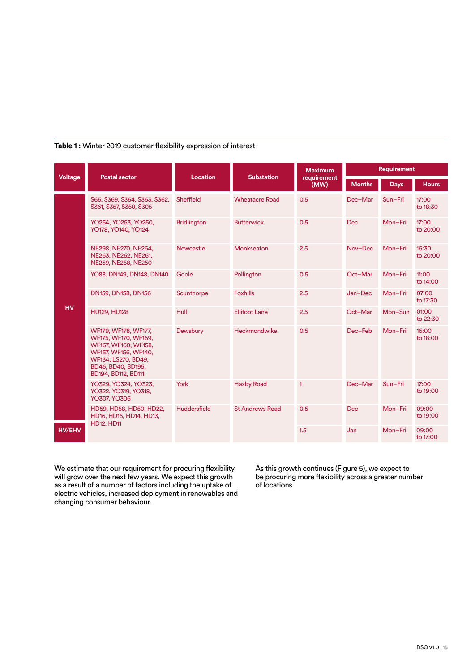#### **Table 1 :** Winter 2019 customer flexibility expression of interest

| <b>Voltage</b> | <b>Postal sector</b>                                                                                                                                             | <b>Location</b>     | <b>Substation</b>      | <b>Maximum</b><br>requirement<br>(MW) | <b>Requirement</b> |             |                   |
|----------------|------------------------------------------------------------------------------------------------------------------------------------------------------------------|---------------------|------------------------|---------------------------------------|--------------------|-------------|-------------------|
|                |                                                                                                                                                                  |                     |                        |                                       | <b>Months</b>      | <b>Days</b> | <b>Hours</b>      |
| <b>HV</b>      | S66, S369, S364, S363, S362,<br>S361, S357, S350, S305                                                                                                           | Sheffield           | <b>Wheatacre Road</b>  | 0.5                                   | Dec-Mar            | Sun-Fri     | 17:00<br>to 18:30 |
|                | YO254, YO253, YO250,<br>YO178, YO140, YO124                                                                                                                      | <b>Bridlington</b>  | <b>Butterwick</b>      | 0.5                                   | <b>Dec</b>         | Mon-Fri     | 17:00<br>to 20:00 |
|                | NE298, NE270, NE264,<br>NE263, NE262, NE261,<br>NE259, NE258, NE250                                                                                              | <b>Newcastle</b>    | Monkseaton             | 2.5                                   | Nov-Dec            | Mon-Fri     | 16:30<br>to 20:00 |
|                | YO88, DN149, DN148, DN140                                                                                                                                        | Goole               | Pollington             | 0.5                                   | Oct-Mar            | Mon-Fri     | 11:00<br>to 14:00 |
|                | DN159, DN158, DN156                                                                                                                                              | Scunthorpe          | <b>Foxhills</b>        | 2.5                                   | Jan-Dec            | Mon-Fri     | 07:00<br>to 17:30 |
|                | <b>HU129, HU128</b>                                                                                                                                              | Hull                | <b>Ellifoot Lane</b>   | 2.5                                   | Oct-Mar            | Mon-Sun     | 01:00<br>to 22:30 |
|                | WF179, WF178, WF177,<br>WF175, WF170, WF169,<br>WF167, WF160, WF158,<br>WF157, WF156, WF140,<br>WF134, LS270, BD49,<br>BD46, BD40, BD195,<br>BD194, BD112, BD111 | Dewsbury            | <b>Heckmondwike</b>    | 0.5                                   | Dec-Feb            | Mon-Fri     | 16:00<br>to 18:00 |
|                | YO329, YO324, YO323,<br>YO322, YO319, YO318,<br>YO307, YO306                                                                                                     | York                | <b>Haxby Road</b>      | $\mathbf{1}$                          | Dec-Mar            | Sun-Fri     | 17:00<br>to 19:00 |
|                | HD59, HD58, HD50, HD22,<br>HD16, HD15, HD14, HD13,<br><b>HD12, HD11</b>                                                                                          | <b>Huddersfield</b> | <b>St Andrews Road</b> | 0.5                                   | <b>Dec</b>         | Mon-Fri     | 09:00<br>to 19:00 |
| <b>HV/EHV</b>  |                                                                                                                                                                  |                     |                        | 1.5                                   | Jan                | Mon-Fri     | 09:00<br>to 17:00 |

We estimate that our requirement for procuring flexibility will grow over the next few years. We expect this growth as a result of a number of factors including the uptake of electric vehicles, increased deployment in renewables and changing consumer behaviour.

As this growth continues (Figure 5), we expect to be procuring more flexibility across a greater number of locations.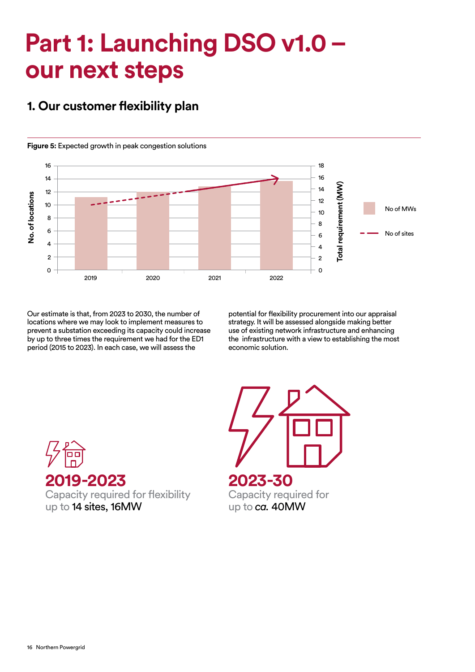# **Part 1: Launching DSO v1.0 – our next steps**

## **1. Our customer flexibility plan**



**Figure 5:** Expected growth in peak congestion solutions

Our estimate is that, from 2023 to 2030, the number of locations where we may look to implement measures to prevent a substation exceeding its capacity could increase by up to three times the requirement we had for the ED1 period (2015 to 2023). In each case, we will assess the

potential for flexibility procurement into our appraisal strategy. It will be assessed alongside making better use of existing network infrastructure and enhancing the infrastructure with a view to establishing the most economic solution.



up to 14 sites, 16MW



**2023-30**  Capacity required for up to *ca.* 40MW